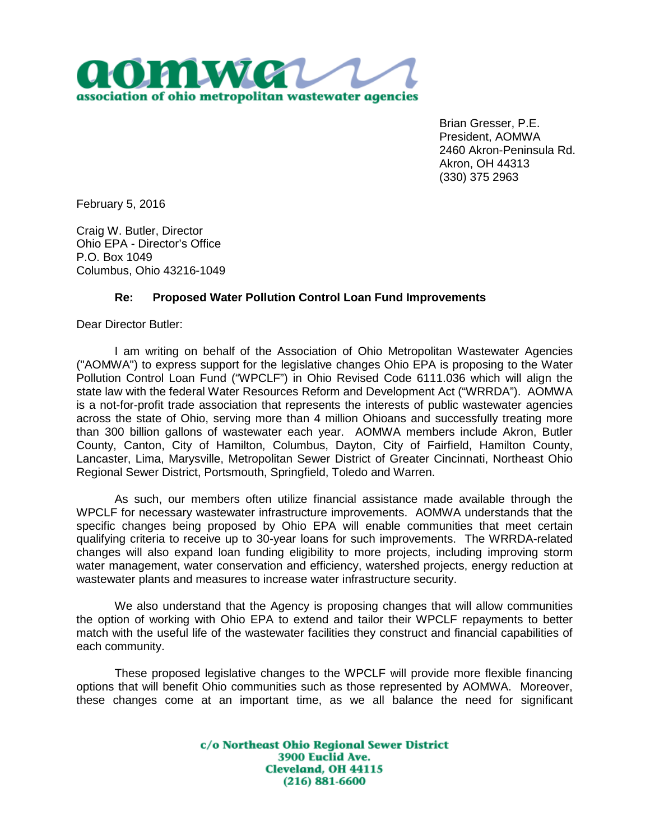

Brian Gresser, P.E. President, AOMWA 2460 Akron-Peninsula Rd. Akron, OH 44313 (330) 375 2963

February 5, 2016

Craig W. Butler, Director Ohio EPA - Director's Office P.O. Box 1049 Columbus, Ohio 43216-1049

## **Re: Proposed Water Pollution Control Loan Fund Improvements**

Dear Director Butler:

I am writing on behalf of the Association of Ohio Metropolitan Wastewater Agencies ("AOMWA") to express support for the legislative changes Ohio EPA is proposing to the Water Pollution Control Loan Fund ("WPCLF") in Ohio Revised Code 6111.036 which will align the state law with the federal Water Resources Reform and Development Act ("WRRDA"). AOMWA is a not-for-profit trade association that represents the interests of public wastewater agencies across the state of Ohio, serving more than 4 million Ohioans and successfully treating more than 300 billion gallons of wastewater each year. AOMWA members include Akron, Butler County, Canton, City of Hamilton, Columbus, Dayton, City of Fairfield, Hamilton County, Lancaster, Lima, Marysville, Metropolitan Sewer District of Greater Cincinnati, Northeast Ohio Regional Sewer District, Portsmouth, Springfield, Toledo and Warren.

As such, our members often utilize financial assistance made available through the WPCLF for necessary wastewater infrastructure improvements. AOMWA understands that the specific changes being proposed by Ohio EPA will enable communities that meet certain qualifying criteria to receive up to 30-year loans for such improvements. The WRRDA-related changes will also expand loan funding eligibility to more projects, including improving storm water management, water conservation and efficiency, watershed projects, energy reduction at wastewater plants and measures to increase water infrastructure security.

We also understand that the Agency is proposing changes that will allow communities the option of working with Ohio EPA to extend and tailor their WPCLF repayments to better match with the useful life of the wastewater facilities they construct and financial capabilities of each community.

These proposed legislative changes to the WPCLF will provide more flexible financing options that will benefit Ohio communities such as those represented by AOMWA. Moreover, these changes come at an important time, as we all balance the need for significant

> c/o Northeast Ohio Regional Sewer District 3900 Euclid Ave. **Cleveland, OH 44115**  $(216) 881 - 6600$